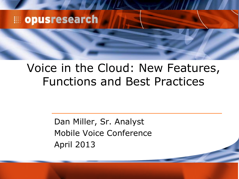### **E** opusresearch

### Voice in the Cloud: New Features, Functions and Best Practices

Dan Miller, Sr. Analyst Mobile Voice Conference April 2013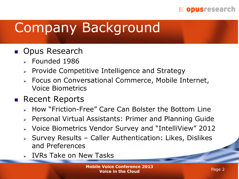#### **EDITIES OPUS TESTED TO A TELESCOPE**

# Company Background

### **D** Opus Research

- $\epsilon$  Founded 1986
- $\triangleright$  Provide Competitive Intelligence and Strategy
- Focus on Conversational Commerce, Mobile Internet, Voice Biometrics

### ■ Recent Reports

- How "Friction-Free" Care Can Bolster the Bottom Line
- Personal Virtual Assistants: Primer and Planning Guide
- Voice Biometrics Vendor Survey and "IntelliView" 2012
- $\triangleright$  Survey Results Caller Authentication: Likes, Dislikes and Preferences
- IVRs Take on New Tasks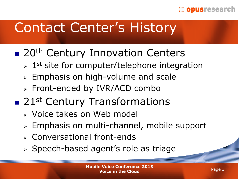#### **EDISTESEArch**

## Contact Center's History

### **20th Century Innovation Centers**

- $> 1$ <sup>st</sup> site for computer/telephone integration
- $\triangleright$  Emphasis on high-volume and scale
- Front-ended by IVR/ACD combo
- 21<sup>st</sup> Century Transformations
	- Voice takes on Web model
	- $\triangleright$  Emphasis on multi-channel, mobile support
	- Conversational front-ends
	- > Speech-based agent's role as triage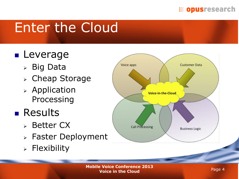#### **EDECISTS** opus research

# Enter the Cloud

## **Leverage**

- Big Data
- Cheap Storage
- $\triangleright$  Application Processing

## **Results**

- Better CX
- Faster Deployment
- $\triangleright$  Flexibility

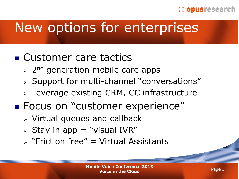#### **EDECISTESCATCh**

## New options for enterprises

### ■ Customer care tactics

- $\geq$  2<sup>nd</sup> generation mobile care apps
- $\triangleright$  Support for multi-channel "conversations"
- Leverage existing CRM, CC infrastructure
- **Focus on "customer experience"** 
	- $\triangleright$  Virtual queues and callback
	- $\triangleright$  Stay in app = "visual IVR"
	- $\triangleright$  "Friction free" = Virtual Assistants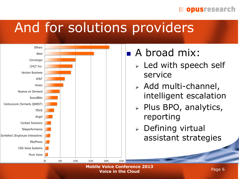#### **EDECISTS** opus research

## And for solutions providers



**Mobile Voice Conference 2013 Voice in the Cloud**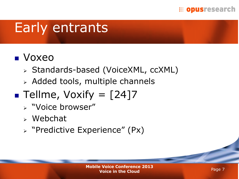

## Early entrants

### Voxeo

- Standards-based (VoiceXML, ccXML)
- Added tools, multiple channels

## **Tellme, Voxify =**  $\lceil 24 \rceil 7$

- "Voice browser"
- Webchat
- "Predictive Experience" (Px)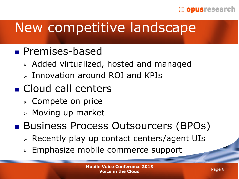#### **EDISTESEArch**

## New competitive landscape

- **Premises-based** 
	- Added virtualized, hosted and managed
	- $\triangleright$  Innovation around ROI and KPIs
- Cloud call centers
	- Compete on price
	- $\triangleright$  Moving up market
- Business Process Outsourcers (BPOs)
	- Recently play up contact centers/agent UIs
	- Emphasize mobile commerce support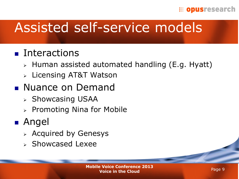#### **EDISTESEArch**

## Assisted self-service models

### **Interactions**

- $\triangleright$  Human assisted automated handling (E.g. Hyatt)
- Licensing AT&T Watson

### **Nuance on Demand**

- $\triangleright$  Showcasing USAA
- $\triangleright$  Promoting Nina for Mobile

### ■ Angel

- $\triangleright$  Acquired by Genesys
- $\triangleright$  Showcased Lexee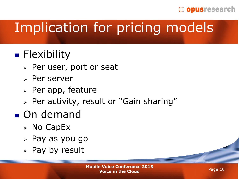#### **EDITIONS TESTION**

# Implication for pricing models

## **Flexibility**

- Per user, port or seat
- $\triangleright$  Per server
- $\triangleright$  Per app, feature
- $\triangleright$  Per activity, result or "Gain sharing"

### **On** demand

- $\triangleright$  No CapEx
- $\triangleright$  Pay as you go
- $>$  Pay by result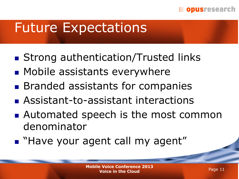#### **EDITIONS TESES CONTINUES**

## Future Expectations

- Strong authentication/Trusted links
- **Mobile assistants everywhere**
- **Branded assistants for companies**
- Assistant-to-assistant interactions
- Automated speech is the most common denominator
- **Have your agent call my agent"**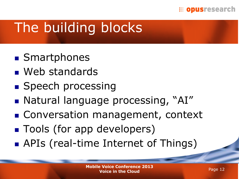#### **EDECISTESCATCh**

# The building blocks

- **Smartphones**
- **Neb** standards
- **Speech processing**
- Natural language processing, "AI"
- **Conversation management, context**
- **Tools (for app developers)**
- APIs (real-time Internet of Things)